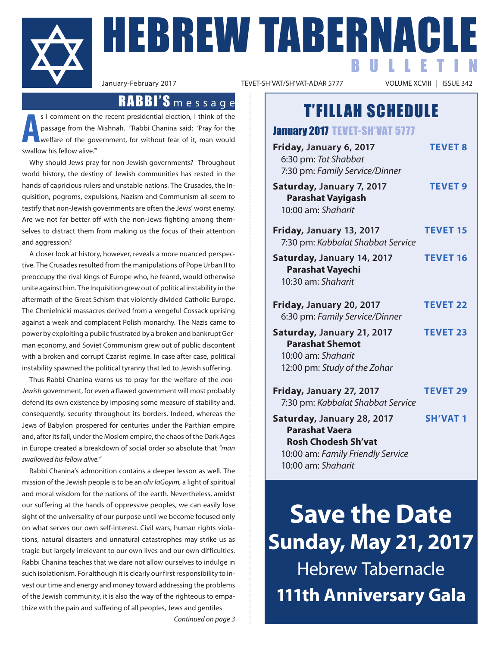

**FBREW TABERNAC** BULLETIN

VOLUME XCVIII | ISSUE 342

## T'FILLAH SCHEDULE

January 2017 TEVET-SH'VAT 5777 **Friday, January 6, 2017 TEVET 8** 6:30 pm: *Tot Shabbat* 7:30 pm: *Family Service/Dinner* **Saturday, January 7, 2017 TEVET 9 Parashat Vayigash** 10:00 am: *Shaharit* **Friday, January 13, 2017 TEVET 15** 7:30 pm: *Kabbalat Shabbat Service* **Saturday, January 14, 2017 TEVET 16 Parashat Vayechi** 10:30 am: *Shaharit* **Friday, January 20, 2017 TEVET 22** 6:30 pm: *Family Service/Dinner* **Saturday, January 21, 2017 TEVET 23 Parashat Shemot** 10:00 am: *Shaharit* 12:00 pm: *Study of the Zohar*

> **Friday, January 27, 2017 TEVET 29** 7:30 pm: *Kabbalat Shabbat Service* **Saturday, January 28, 2017 SH'VAT 1 Parashat Vaera Rosh Chodesh Sh'vat** 10:00 am: *Family Friendly Service*

10:00 am: *Shaharit*

**Save the Date Sunday, May 21, 2017** Hebrew Tabernacle **111th Anniversary Gala**

## RABBI'S message

**A** s I comment on the recent presidential election, I think of the passage from the Mishnah. "Rabbi Chanina said: 'Pray for the welfare of the government, for without fear of it, man would swallow his fellow alive.'"

Why should Jews pray for non-Jewish governments? Throughout world history, the destiny of Jewish communities has rested in the hands of capricious rulers and unstable nations. The Crusades, the Inquisition, pogroms, expulsions, Nazism and Communism all seem to testify that non-Jewish governments are often the Jews' worst enemy. Are we not far better off with the non-Jews fighting among themselves to distract them from making us the focus of their attention and aggression?

A closer look at history, however, reveals a more nuanced perspective. The Crusades resulted from the manipulations of Pope Urban II to preoccupy the rival kings of Europe who, he feared, would otherwise unite against him. The Inquisition grew out of political instability in the aftermath of the Great Schism that violently divided Catholic Europe. The Chmielnicki massacres derived from a vengeful Cossack uprising against a weak and complacent Polish monarchy. The Nazis came to power by exploiting a public frustrated by a broken and bankrupt German economy, and Soviet Communism grew out of public discontent with a broken and corrupt Czarist regime. In case after case, political instability spawned the political tyranny that led to Jewish suffering.

Thus Rabbi Chanina warns us to pray for the welfare of the *non-Jewish* government, for even a flawed government will most probably defend its own existence by imposing some measure of stability and, consequently, security throughout its borders. Indeed, whereas the Jews of Babylon prospered for centuries under the Parthian empire and, after its fall, under the Moslem empire, the chaos of the Dark Ages in Europe created a breakdown of social order so absolute that *"man swallowed his fellow alive."*

Rabbi Chanina's admonition contains a deeper lesson as well. The mission of the Jewish people is to be an *ohr laGoyim,* a light of spiritual and moral wisdom for the nations of the earth. Nevertheless, amidst our suffering at the hands of oppressive peoples, we can easily lose sight of the universality of our purpose until we become focused only on what serves our own self-interest. Civil wars, human rights violations, natural disasters and unnatural catastrophes may strike us as tragic but largely irrelevant to our own lives and our own difficulties. Rabbi Chanina teaches that we dare not allow ourselves to indulge in such isolationism. For although it is clearly our first responsibility to invest our time and energy and money toward addressing the problems of the Jewish community, it is also the way of the righteous to empathize with the pain and suffering of all peoples, Jews and gentiles

*Continued on page 3*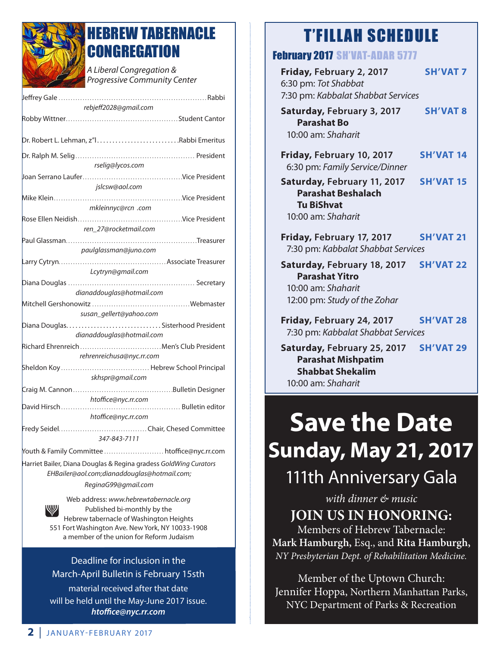

## **IEBREW TABERNACLE CONGREGATION**

*A Liberal Congregation & Progressive Community Center* 

| rebjeff2028@gmail.com                                                                                                                  |
|----------------------------------------------------------------------------------------------------------------------------------------|
|                                                                                                                                        |
|                                                                                                                                        |
| rselig@lycos.com                                                                                                                       |
|                                                                                                                                        |
| jslcsw@aol.com                                                                                                                         |
|                                                                                                                                        |
| mkleinnyc@rcn .com                                                                                                                     |
|                                                                                                                                        |
| ren 27@rocketmail.com                                                                                                                  |
|                                                                                                                                        |
| paulglassman@juno.com                                                                                                                  |
| Lcytryn@gmail.com                                                                                                                      |
|                                                                                                                                        |
| dianaddouglas@hotmail.com                                                                                                              |
| susan_gellert@yahoo.com                                                                                                                |
|                                                                                                                                        |
| dianaddouglas@hotmail.com                                                                                                              |
| Richard Ehrenreich  Men's Club President<br>rehrenreichusa@nyc.rr.com                                                                  |
| skhspr@gmail.com                                                                                                                       |
|                                                                                                                                        |
| htoffice@nyc.rr.com                                                                                                                    |
|                                                                                                                                        |
| htoffice@nyc.rr.com                                                                                                                    |
| 347-843-7111                                                                                                                           |
| Youth & Family Committee  htoffice@nyc.rr.com                                                                                          |
| Harriet Bailer, Diana Douglas & Regina gradess GoldWing Curators<br>EHBailer@aol.com;dianaddouglas@hotmail.com;<br>ReginaG99@gmail.com |
| Web address: www.hebrewtabernacle.org<br>,,,,,,,,<br>.                                                                                 |

Published bi-monthly by the Hebrew tabernacle of Washington Heights 551 Fort Washington Ave. New York, NY 10033-1908 a member of the union for Reform Judaism

#### Deadline for inclusion in the March-April Bulletin is February 15sth

material received after that date will be held until the May-June 2017 issue. *htoffice@nyc.rr.com*

## T'FILLAH SCHEDULE

#### February 2017 SH'VAT-ADAR 5777

| FCUIUAIVZUIT SH VAI-AUAK 377                                                                               |                  |
|------------------------------------------------------------------------------------------------------------|------------------|
| Friday, February 2, 2017<br>6:30 pm: Tot Shabbat<br>7:30 pm: Kabbalat Shabbat Services                     | <b>SH'VAT 7</b>  |
| Saturday, February 3, 2017<br><b>Parashat Bo</b><br>10:00 am: Shaharit                                     | <b>SH'VAT 8</b>  |
| Friday, February 10, 2017<br>6:30 pm: Family Service/Dinner                                                | <b>SH'VAT 14</b> |
| Saturday, February 11, 2017<br><b>Parashat Beshalach</b><br><b>Tu BiShvat</b><br>10:00 am: Shaharit        | <b>SH'VAT 15</b> |
| Friday, February 17, 2017<br>7:30 pm: Kabbalat Shabbat Services                                            | <b>SH'VAT 21</b> |
| Saturday, February 18, 2017<br><b>Parashat Yitro</b><br>10:00 am: Shaharit<br>12:00 pm: Study of the Zohar | <b>SH'VAT 22</b> |
| Friday, February 24, 2017<br>7:30 pm: Kabbalat Shabbat Services                                            | <b>SH'VAT 28</b> |
| Saturday, February 25, 2017<br><b>Parashat Mishpatim</b><br><b>Shabbat Shekalim</b>                        | <b>SH'VAT 29</b> |

10:00 am: *Shaharit*

# **Save the Date Sunday, May 21, 2017**

## 111th Anniversary Gala

*with dinner & music* **JOIN US IN HONORING:**

Members of Hebrew Tabernacle: **Mark Hamburgh,** Esq., and **Rita Hamburgh,** *NY Presbyterian Dept. of Rehabilitation Medicine.*

Member of the Uptown Church: Jennifer Hoppa, Northern Manhattan Parks, NYC Department of Parks & Recreation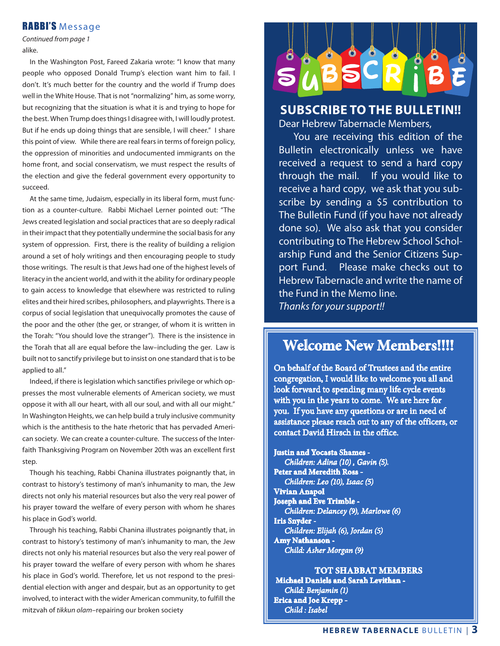#### RABBI'S Message

*Continued from page 1* alike.

 In the Washington Post, Fareed Zakaria wrote: "I know that many people who opposed Donald Trump's election want him to fail. I don't. It's much better for the country and the world if Trump does well in the White House. That is not "normalizing" him, as some worry, but recognizing that the situation is what it is and trying to hope for the best. When Trump does things I disagree with, I will loudly protest. But if he ends up doing things that are sensible, I will cheer." I share this point of view. While there are real fears in terms of foreign policy, the oppression of minorities and undocumented immigrants on the home front, and social conservatism, we must respect the results of the election and give the federal government every opportunity to succeed.

 At the same time, Judaism, especially in its liberal form, must function as a counter-culture. Rabbi Michael Lerner pointed out: "The Jews created legislation and social practices that are so deeply radical in their impact that they potentially undermine the social basis for any system of oppression. First, there is the reality of building a religion around a set of holy writings and then encouraging people to study those writings. The result is that Jews had one of the highest levels of literacy in the ancient world, and with it the ability for ordinary people to gain access to knowledge that elsewhere was restricted to ruling elites and their hired scribes, philosophers, and playwrights. There is a corpus of social legislation that unequivocally promotes the cause of the poor and the other (the ger, or stranger, of whom it is written in the Torah: "You should love the stranger"). There is the insistence in the Torah that all are equal before the law–including the ger. Law is built not to sanctify privilege but to insist on one standard that is to be applied to all."

 Indeed, if there is legislation which sanctifies privilege or which oppresses the most vulnerable elements of American society, we must oppose it with all our heart, with all our soul, and with all our might." In Washington Heights, we can help build a truly inclusive community which is the antithesis to the hate rhetoric that has pervaded American society. We can create a counter-culture. The success of the Interfaith Thanksgiving Program on November 20th was an excellent first step.

 Though his teaching, Rabbi Chanina illustrates poignantly that, in contrast to history's testimony of man's inhumanity to man, the Jew directs not only his material resources but also the very real power of his prayer toward the welfare of every person with whom he shares his place in God's world.

 Through his teaching, Rabbi Chanina illustrates poignantly that, in contrast to history's testimony of man's inhumanity to man, the Jew directs not only his material resources but also the very real power of his prayer toward the welfare of every person with whom he shares his place in God's world. Therefore, let us not respond to the presidential election with anger and despair, but as an opportunity to get involved, to interact with the wider American community, to fulfill the mitzvah of *tikkun olam*–repairing our broken society



#### **SUBSCRIBE TO THE BULLETIN!!**

Dear Hebrew Tabernacle Members,

 You are receiving this edition of the Bulletin electronically unless we have received a request to send a hard copy through the mail. If you would like to receive a hard copy, we ask that you subscribe by sending a \$5 contribution to The Bulletin Fund (if you have not already done so). We also ask that you consider contributing to The Hebrew School Scholarship Fund and the Senior Citizens Support Fund. Please make checks out to Hebrew Tabernacle and write the name of the Fund in the Memo line. *Thanks for your support!!*

#### **Welcome New Members!!!!**

On behalf of the Board of Trustees and the entire congregation, I would like to welcome you all and look forward to spending many life cycle events with you in the years to come. We are here for you. If you have any questions or are in need of assistance please reach out to any of the officers, or contact David Hirsch in the office.

**Justin and Yocasta Shames** -  *Children: Adina (10) , Gavin (5).*  **Peter and Meredith Ross** *- Children: Leo (10), Isaac (5)* **Vivian Anapol Joseph and Eve Trimble** - *Children: Delancey (9), Marlowe (6)* **Iris Snyder** -  *Children: Elijah (6), Jordan (5)* **Amy Nathanson** - *Child: Asher Morgan (9)*

**TOT SHABBAT MEMBERS Michael Daniels and Sarah Levithan** - *Child: Benjamin (1)* **Erica and Joe Krepp** - *Child : Isabel*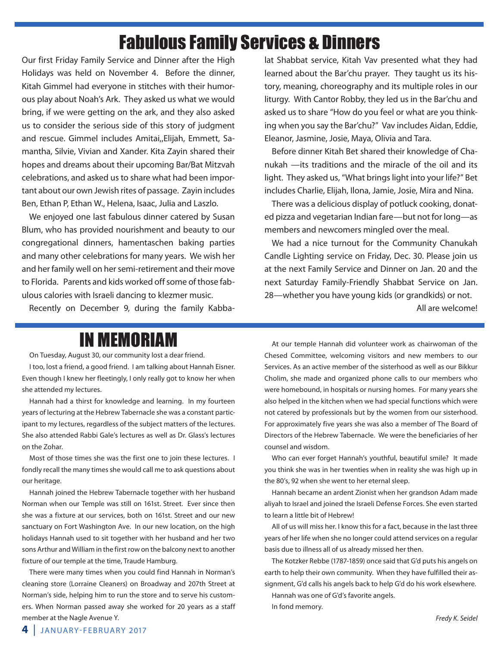## Fabulous Family Services & Dinners

Our first Friday Family Service and Dinner after the High Holidays was held on November 4. Before the dinner, Kitah Gimmel had everyone in stitches with their humorous play about Noah's Ark. They asked us what we would bring, if we were getting on the ark, and they also asked us to consider the serious side of this story of judgment and rescue. Gimmel includes Amitai,,Elijah, Emmett, Samantha, Silvie, Vivian and Xander. Kita Zayin shared their hopes and dreams about their upcoming Bar/Bat Mitzvah celebrations, and asked us to share what had been important about our own Jewish rites of passage. Zayin includes Ben, Ethan P, Ethan W., Helena, Isaac, Julia and Laszlo.

We enjoyed one last fabulous dinner catered by Susan Blum, who has provided nourishment and beauty to our congregational dinners, hamentaschen baking parties and many other celebrations for many years. We wish her and her family well on her semi-retirement and their move to Florida. Parents and kids worked off some of those fabulous calories with Israeli dancing to klezmer music.

Recently on December 9, during the family Kabba-

lat Shabbat service, Kitah Vav presented what they had learned about the Bar'chu prayer. They taught us its history, meaning, choreography and its multiple roles in our liturgy. With Cantor Robby, they led us in the Bar'chu and asked us to share "How do you feel or what are you thinking when you say the Bar'chu?" Vav includes Aidan, Eddie, Eleanor, Jasmine, Josie, Maya, Olivia and Tara.

Before dinner Kitah Bet shared their knowledge of Chanukah —its traditions and the miracle of the oil and its light. They asked us, "What brings light into your life?" Bet includes Charlie, Elijah, Ilona, Jamie, Josie, Mira and Nina.

There was a delicious display of potluck cooking, donated pizza and vegetarian Indian fare—but not for long—as members and newcomers mingled over the meal.

We had a nice turnout for the Community Chanukah Candle Lighting service on Friday, Dec. 30. Please join us at the next Family Service and Dinner on Jan. 20 and the next Saturday Family-Friendly Shabbat Service on Jan. 28—whether you have young kids (or grandkids) or not.

All are welcome!

## IN MEMORIAM

On Tuesday, August 30, our community lost a dear friend.

I too, lost a friend, a good friend. I am talking about Hannah Eisner. Even though I knew her fleetingly, I only really got to know her when she attended my lectures.

Hannah had a thirst for knowledge and learning. In my fourteen years of lecturing at the Hebrew Tabernacle she was a constant participant to my lectures, regardless of the subject matters of the lectures. She also attended Rabbi Gale's lectures as well as Dr. Glass's lectures on the Zohar.

Most of those times she was the first one to join these lectures. I fondly recall the many times she would call me to ask questions about our heritage.

Hannah joined the Hebrew Tabernacle together with her husband Norman when our Temple was still on 161st. Street. Ever since then she was a fixture at our services, both on 161st. Street and our new sanctuary on Fort Washington Ave. In our new location, on the high holidays Hannah used to sit together with her husband and her two sons Arthur and William in the first row on the balcony next to another fixture of our temple at the time, Traude Hamburg.

There were many times when you could find Hannah in Norman's cleaning store (Lorraine Cleaners) on Broadway and 207th Street at Norman's side, helping him to run the store and to serve his customers. When Norman passed away she worked for 20 years as a staff member at the Nagle Avenue Y.

At our temple Hannah did volunteer work as chairwoman of the Chesed Committee, welcoming visitors and new members to our Services. As an active member of the sisterhood as well as our Bikkur Cholim, she made and organized phone calls to our members who were homebound, in hospitals or nursing homes. For many years she also helped in the kitchen when we had special functions which were not catered by professionals but by the women from our sisterhood. For approximately five years she was also a member of The Board of Directors of the Hebrew Tabernacle. We were the beneficiaries of her counsel and wisdom.

Who can ever forget Hannah's youthful, beautiful smile? It made you think she was in her twenties when in reality she was high up in the 80's, 92 when she went to her eternal sleep.

Hannah became an ardent Zionist when her grandson Adam made aliyah to Israel and joined the Israeli Defense Forces. She even started to learn a little bit of Hebrew!

All of us will miss her. I know this for a fact, because in the last three years of her life when she no longer could attend services on a regular basis due to illness all of us already missed her then.

The Kotzker Rebbe (1787-1859) once said that G'd puts his angels on earth to help their own community. When they have fulfilled their assignment, G'd calls his angels back to help G'd do his work elsewhere.

Hannah was one of G'd's favorite angels.

In fond memory.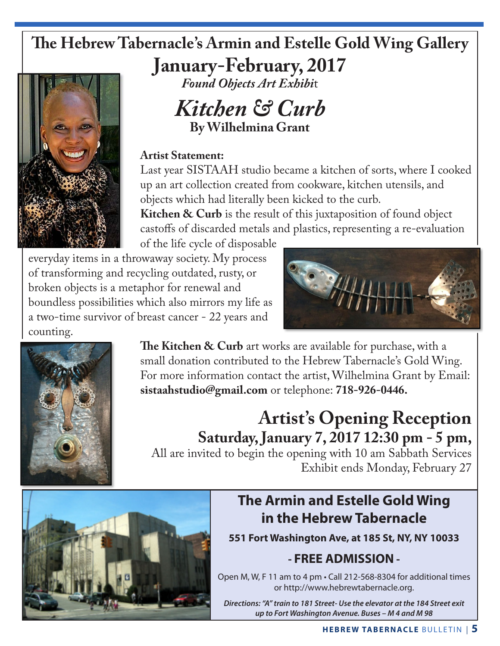## **The Hebrew Tabernacle's Armin and Estelle Gold Wing Gallery**

**January-February, 2017**



*Found Objects Art Exhibi*t

*Kitchen & Curb* **By Wilhelmina Grant**

#### **Artist Statement:**

Last year SISTAAH studio became a kitchen of sorts, where I cooked up an art collection created from cookware, kitchen utensils, and objects which had literally been kicked to the curb.

**Kitchen & Curb** is the result of this juxtaposition of found object castoffs of discarded metals and plastics, representing a re-evaluation

of the life cycle of disposable everyday items in a throwaway society. My process of transforming and recycling outdated, rusty, or broken objects is a metaphor for renewal and

boundless possibilities which also mirrors my life as a two-time survivor of breast cancer - 22 years and counting.





**The Kitchen & Curb** art works are available for purchase, with a small donation contributed to the Hebrew Tabernacle's Gold Wing. For more information contact the artist, Wilhelmina Grant by Email: **sistaahstudio@gmail.com** or telephone: **718-926-0446.**

## **Artist's Opening Reception Saturday, January 7, 2017 12:30 pm - 5 pm,**

All are invited to begin the opening with 10 am Sabbath Services Exhibit ends Monday, February 27



## **The Armin and Estelle Gold Wing in the Hebrew Tabernacle**

**551 Fort Washington Ave, at 185 St, NY, NY 10033**

### **- FREE ADMISSION -**

Open M, W, F 11 am to 4 pm • Call 212-568-8304 for additional times or http://www.hebrewtabernacle.org.

*Directions: "A" train to 181 Street- Use the elevator at the 184 Street exit up to Fort Washington Avenue. Buses – M 4 and M 98*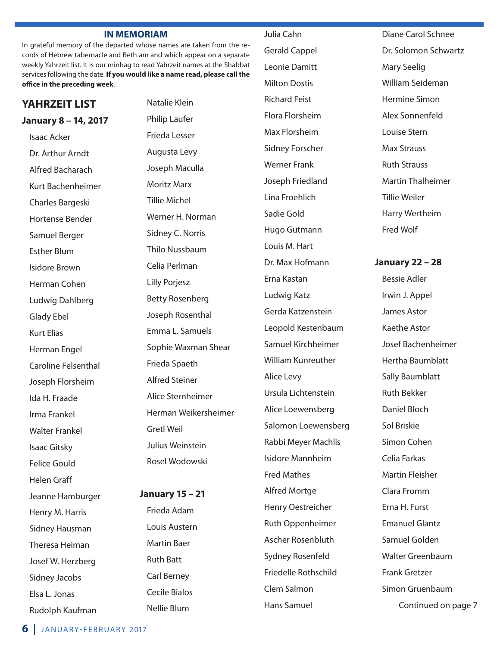#### **IN MEMORIAM**

In grateful memory of the departed whose names are taken from the records of Hebrew tabernacle and Beth am and which appear on a separate weekly Yahrzeit list. It is our minhag to read Yahrzeit names at the Shabbat services following the date. **If you would like a name read, please call the office in the preceding week**.

#### **YAHRZEIT LIST**

#### **January 8 – 14, 2017**

Isaac Acker Dr. Arthur Arndt Alfred Bacharach Kurt Bachenheimer Charles Bargeski Hortense Bender Samuel Berger Esther Blum Isidore Brown Herman Cohen Ludwig Dahlberg Glady Ebel Kurt Elias Herman Engel Caroline Felsenthal Joseph Florsheim Ida H. Fraade Irma Frankel Walter Frankel Isaac Gitsky Felice Gould Helen Graff Jeanne Hamburger Henry M. Harris Sidney Hausman Theresa Heiman Josef W. Herzberg Sidney Jacobs Elsa L. Jonas Rudolph Kaufman

Natalie Klein Philip Laufer Frieda Lesser Augusta Levy Joseph Maculla Moritz Marx Tillie Michel Werner H. Norman Sidney C. Norris Thilo Nussbaum Celia Perlman Lilly Porjesz Betty Rosenberg Joseph Rosenthal Emma L. Samuels Sophie Waxman Shear Frieda Spaeth Alfred Steiner Alice Sternheimer Herman Weikersheimer Gretl Weil Julius Weinstein Rosel Wodowski

#### **January 15 – 21**

Frieda Adam Louis Austern Martin Baer Ruth Batt Carl Berney Cecile Bialos Nellie Blum

Julia Cahn Gerald Cappel Leonie Damitt Milton Dostis Richard Feist Flora Florsheim Max Florsheim Sidney Forscher Werner Frank Joseph Friedland Lina Froehlich Sadie Gold Hugo Gutmann Louis M. Hart Dr. Max Hofmann Erna Kastan Ludwig Katz Gerda Katzenstein Leopold Kestenbaum Samuel Kirchheimer William Kunreuther Alice Levy Ursula Lichtenstein Alice Loewensberg Salomon Loewensberg Rabbi Meyer Machlis Isidore Mannheim Fred Mathes Alfred Mortge Henry Oestreicher Ruth Oppenheimer Ascher Rosenbluth Sydney Rosenfeld Friedelle Rothschild Clem Salmon Hans Samuel

Diane Carol Schnee Dr. Solomon Schwartz Mary Seelig William Seideman Hermine Simon Alex Sonnenfeld Louise Stern Max Strauss Ruth Strauss Martin Thalheimer Tillie Weiler Harry Wertheim Fred Wolf

**January 22 – 28**

Bessie Adler Irwin J. Appel James Astor Kaethe Astor Josef Bachenheimer Hertha Baumblatt Sally Baumblatt Ruth Bekker Daniel Bloch Sol Briskie Simon Cohen Celia Farkas Martin Fleisher Clara Fromm Erna H. Furst Emanuel Glantz Samuel Golden Walter Greenbaum Frank Gretzer Simon Gruenbaum Continued on page 7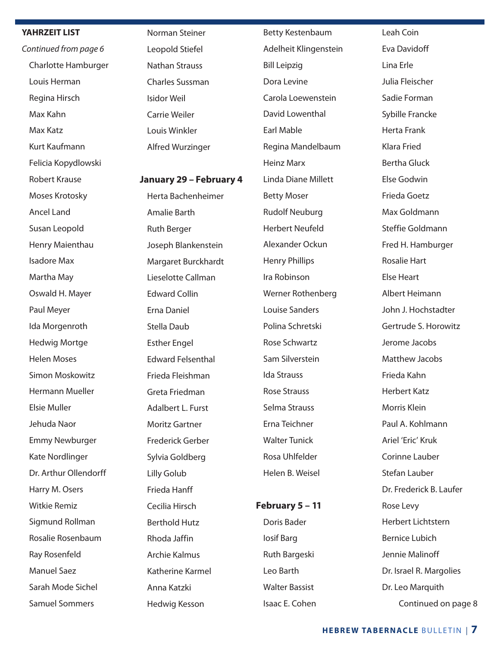#### **YAHRZEIT LIST**

*Continued from page 6* Charlotte Hamburger Louis Herman Regina Hirsch Max Kahn Max Katz Kurt Kaufmann Felicia Kopydlowski Robert Krause Moses Krotosky Ancel Land Susan Leopold Henry Maienthau Isadore Max Martha May Oswald H. Mayer Paul Meyer Ida Morgenroth Hedwig Mortge Helen Moses Simon Moskowitz Hermann Mueller Elsie Muller Jehuda Naor Emmy Newburger Kate Nordlinger Dr. Arthur Ollendorff Harry M. Osers Witkie Remiz Sigmund Rollman Rosalie Rosenbaum Ray Rosenfeld Manuel Saez Sarah Mode Sichel Samuel Sommers

Norman Steiner Leopold Stiefel Nathan Strauss Charles Sussman Isidor Weil Carrie Weiler Louis Winkler Alfred Wurzinger

#### **January 29 – February 4**

Herta Bachenheimer Amalie Barth Ruth Berger Joseph Blankenstein Margaret Burckhardt Lieselotte Callman Edward Collin Erna Daniel Stella Daub Esther Engel Edward Felsenthal Frieda Fleishman Greta Friedman Adalbert L. Furst Moritz Gartner Frederick Gerber Sylvia Goldberg Lilly Golub Frieda Hanff Cecilia Hirsch Berthold Hutz Rhoda Jaffin Archie Kalmus Katherine Karmel Anna Katzki Hedwig Kesson

Betty Kestenbaum Adelheit Klingenstein Bill Leipzig Dora Levine Carola Loewenstein David Lowenthal Earl Mable Regina Mandelbaum Heinz Marx Linda Diane Millett Betty Moser Rudolf Neuburg Herbert Neufeld Alexander Ockun Henry Phillips Ira Robinson Werner Rothenberg Louise Sanders Polina Schretski Rose Schwartz Sam Silverstein Ida Strauss Rose Strauss Selma Strauss Erna Teichner Walter Tunick Rosa Uhlfelder Helen B. Weisel

#### **February 5 – 11**

Doris Bader Iosif Barg Ruth Bargeski Leo Barth Walter Bassist Isaac E. Cohen Leah Coin Eva Davidoff Lina Erle Julia Fleischer Sadie Forman Sybille Francke Herta Frank Klara Fried Bertha Gluck Else Godwin Frieda Goetz Max Goldmann Steffie Goldmann Fred H. Hamburger Rosalie Hart Else Heart Albert Heimann John J. Hochstadter Gertrude S. Horowitz Jerome Jacobs Matthew Jacobs Frieda Kahn Herbert Katz Morris Klein Paul A. Kohlmann Ariel 'Eric' Kruk Corinne Lauber Stefan Lauber Dr. Frederick B. Laufer Rose Levy Herbert Lichtstern Bernice Lubich Jennie Malinoff Dr. Israel R. Margolies Dr. Leo Marquith Continued on page 8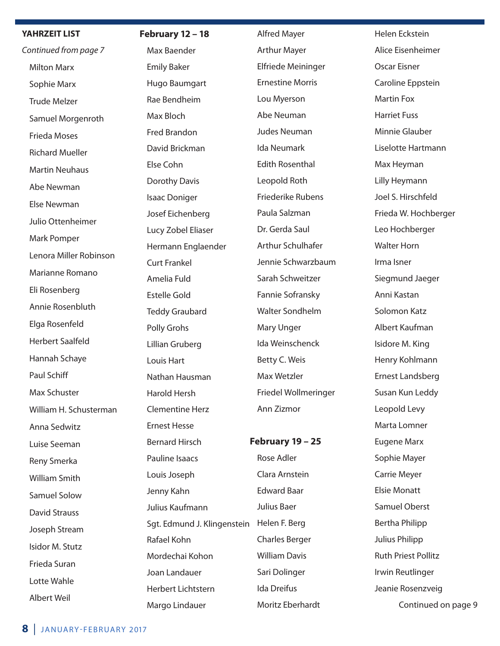#### **YAHRZEIT LIST**

*Continued from page 7* Milton Marx Sophie Marx Trude Melzer Samuel Morgenroth Frieda Moses Richard Mueller Martin Neuhaus Abe Newman Else Newman Julio Ottenheimer Mark Pomper Lenora Miller Robinson Marianne Romano Eli Rosenberg Annie Rosenbluth Elga Rosenfeld Herbert Saalfeld Hannah Schaye Paul Schiff Max Schuster William H. Schusterman Anna Sedwitz Luise Seeman Reny Smerka William Smith Samuel Solow David Strauss Joseph Stream Isidor M. Stutz Frieda Suran Lotte Wahle Albert Weil

#### **February 12 – 18**

Max Baender Emily Baker Hugo Baumgart Rae Bendheim Max Bloch Fred Brandon David Brickman Else Cohn Dorothy Davis Isaac Doniger Josef Eichenberg Lucy Zobel Eliaser Hermann Englaender Curt Frankel Amelia Fuld Estelle Gold Teddy Graubard Polly Grohs Lillian Gruberg Louis Hart Nathan Hausman Harold Hersh Clementine Herz Ernest Hesse Bernard Hirsch Pauline Isaacs Louis Joseph Jenny Kahn Julius Kaufmann Sgt. Edmund J. Klingenstein Helen F. Berg Rafael Kohn Mordechai Kohon Joan Landauer Herbert Lichtstern Margo Lindauer

Alfred Mayer Arthur Mayer Elfriede Meininger Ernestine Morris Lou Myerson Abe Neuman Judes Neuman Ida Neumark Edith Rosenthal Leopold Roth Friederike Rubens Paula Salzman Dr. Gerda Saul Arthur Schulhafer Jennie Schwarzbaum Sarah Schweitzer Fannie Sofransky Walter Sondhelm Mary Unger Ida Weinschenck Betty C. Weis Max Wetzler Friedel Wollmeringer Ann Zizmor **February 19 – 25** Rose Adler Clara Arnstein Edward Baar Julius Baer Charles Berger

William Davis

Sari Dolinger Ida Dreifus

Moritz Eberhardt

Helen Eckstein Alice Eisenheimer Oscar Eisner Caroline Eppstein Martin Fox Harriet Fuss Minnie Glauber Liselotte Hartmann Max Heyman Lilly Heymann Joel S. Hirschfeld Frieda W. Hochberger Leo Hochberger Walter Horn Irma Isner Siegmund Jaeger Anni Kastan Solomon Katz Albert Kaufman Isidore M. King Henry Kohlmann Ernest Landsberg Susan Kun Leddy Leopold Levy Marta Lomner Eugene Marx Sophie Mayer Carrie Meyer Elsie Monatt Samuel Oberst Bertha Philipp Julius Philipp Ruth Priest Pollitz Irwin Reutlinger Jeanie Rosenzveig Continued on page 9

**8** JANUARY-FEBRUARY 2017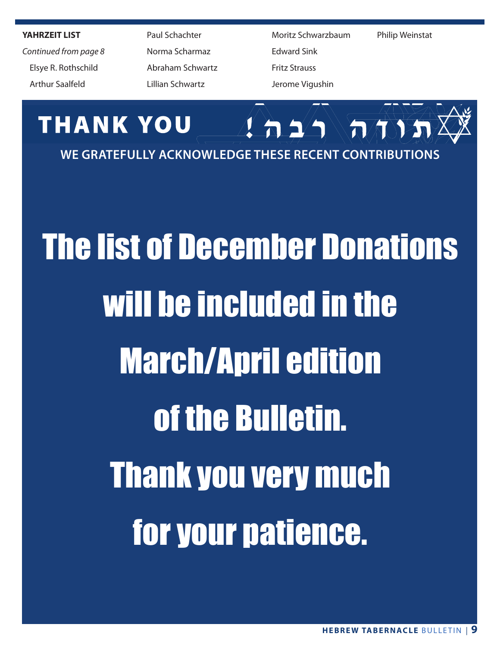**YAHRZEIT LIST**

*Continued from page 8* Elsye R. Rothschild Arthur Saalfeld

 Paul Schachter Norma Scharmaz Abraham Schwartz Lillian Schwartz

 Moritz Schwarzbaum Edward Sink Fritz Strauss Jerome Vigushin

Philip Weinstat



# The list of December Donations will be included in the March/April edition of the Bulletin. Thank you very much for your patience.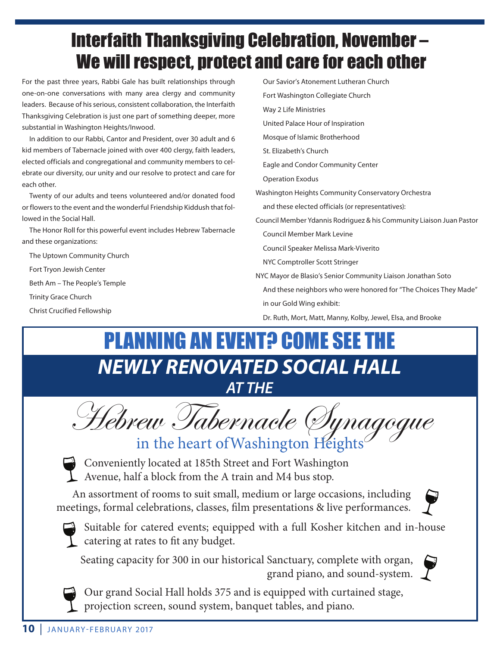## Interfaith Thanksgiving Celebration, November – We will respect, protect and care for each other

For the past three years, Rabbi Gale has built relationships through one-on-one conversations with many area clergy and community leaders. Because of his serious, consistent collaboration, the Interfaith Thanksgiving Celebration is just one part of something deeper, more substantial in Washington Heights/Inwood.

In addition to our Rabbi, Cantor and President, over 30 adult and 6 kid members of Tabernacle joined with over 400 clergy, faith leaders, elected officials and congregational and community members to celebrate our diversity, our unity and our resolve to protect and care for each other.

Twenty of our adults and teens volunteered and/or donated food or flowers to the event and the wonderful Friendship Kiddush that followed in the Social Hall.

The Honor Roll for this powerful event includes Hebrew Tabernacle and these organizations:

The Uptown Community Church

Fort Tryon Jewish Center

Beth Am – The People's Temple

Trinity Grace Church

Christ Crucified Fellowship

- Our Savior's Atonement Lutheran Church Fort Washington Collegiate Church
- Way 2 Life Ministries

United Palace Hour of Inspiration

Mosque of Islamic Brotherhood

St. Elizabeth's Church

Eagle and Condor Community Center

Operation Exodus

Washington Heights Community Conservatory Orchestra

and these elected officials (or representatives):

Council Member Ydannis Rodriguez & his Community Liaison Juan Pastor Council Member Mark Levine

Council Speaker Melissa Mark-Viverito

NYC Comptroller Scott Stringer

- NYC Mayor de Blasio's Senior Community Liaison Jonathan Soto
- And these neighbors who were honored for "The Choices They Made" in our Gold Wing exhibit:

Dr. Ruth, Mort, Matt, Manny, Kolby, Jewel, Elsa, and Brooke

## *NEWLY RENOVATED SOCIAL HALL AT THE* **PLANNING AN EVENT? COME SEE THE**

Hebrew Tabernacle Synagogue



Conveniently located at 185th Street and Fort Washington Avenue, half a block from the A train and M4 bus stop.

An assortment of rooms to suit small, medium or large occasions, including meetings, formal celebrations, classes, film presentations & live performances.



Suitable for catered events; equipped with a full Kosher kitchen and in-house catering at rates to fit any budget.

Seating capacity for 300 in our historical Sanctuary, complete with organ, grand piano, and sound-system.  $\int$ 





Our grand Social Hall holds 375 and is equipped with curtained stage, projection screen, sound system, banquet tables, and piano.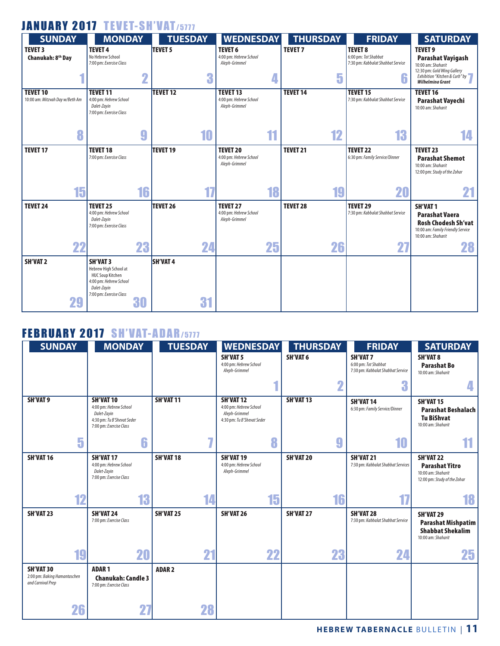#### JANUARY 2017 TEVET-SH'VAT/5777

| <b>SUNDAY</b>                   | <b>MONDAY</b>                                     |             | <b>TUESDAY</b>  | <b>WEDNESDAY</b>       | <b>THURSDAY</b> | <b>FRIDAY</b>                     | <b>SATURDAY</b>                                               |
|---------------------------------|---------------------------------------------------|-------------|-----------------|------------------------|-----------------|-----------------------------------|---------------------------------------------------------------|
| <b>TEVET 3</b>                  | <b>TEVET 4</b>                                    |             | <b>TEVET 5</b>  | <b>TEVET 6</b>         | <b>TEVET 7</b>  | <b>TEVET 8</b>                    | <b>TEVET 9</b>                                                |
| Chanukah: 8 <sup>th</sup> Day   | No Hebrew School                                  |             |                 | 4:00 pm: Hebrew School |                 | 6:00 pm: Tot Shabbat              | <b>Parashat Vayigash</b>                                      |
|                                 | 7:00 pm: Exercise Class                           |             |                 | Aleph-Grimmel          |                 | 7:30 pm: Kabbalat Shabbat Service | 10:00 am: Shaharit                                            |
|                                 |                                                   |             | 3               |                        |                 |                                   | 12:30 pm: Gold Wing Gallery<br>Exhibition "Kitchen & Curb" by |
|                                 |                                                   | $\mathbf 2$ |                 | 4                      | 5               | 6                                 | <b>Wilhelming Grant</b>                                       |
| <b>TEVET 10</b>                 | <b>TEVET 11</b>                                   |             | <b>TEVET 12</b> | <b>TEVET 13</b>        | <b>TEVET 14</b> | <b>TEVET 15</b>                   | <b>TEVET 16</b>                                               |
| 10:00 am: Mitzvah Day w/Beth Am | 4:00 pm: Hebrew School                            |             |                 | 4:00 pm: Hebrew School |                 | 7:30 pm: Kabbalat Shabbat Service | Parashat Vayechi                                              |
|                                 | Dalet-Zayin<br>7:00 pm: Exercise Class            |             |                 | Aleph-Grimmel          |                 |                                   | 10:00 am: Shaharit                                            |
|                                 |                                                   |             |                 |                        |                 |                                   |                                                               |
|                                 |                                                   |             |                 |                        |                 |                                   |                                                               |
| 8                               |                                                   | 9           | 10              | 11                     | 12              | 13                                | 14                                                            |
| <b>TEVET 17</b>                 | <b>TEVET 18</b>                                   |             | <b>TEVET 19</b> | <b>TEVET 20</b>        | <b>TEVET 21</b> | <b>TEVET 22</b>                   | <b>TEVET 23</b>                                               |
|                                 | 7:00 pm: Exercise Class                           |             |                 | 4:00 pm: Hebrew School |                 | 6:30 pm: Family Service/Dinner    | <b>Parashat Shemot</b>                                        |
|                                 |                                                   |             |                 | Aleph-Grimmel          |                 |                                   | 10:00 am: Shaharit                                            |
|                                 |                                                   |             |                 |                        |                 |                                   | 12:00 pm: Study of the Zohar                                  |
|                                 |                                                   |             |                 |                        |                 |                                   |                                                               |
| 15                              |                                                   | 16          |                 | 18                     | 19              | 20                                |                                                               |
| <b>TEVET 24</b>                 | <b>TEVET 25</b>                                   |             | <b>TEVET 26</b> | <b>TEVET 27</b>        | <b>TEVET 28</b> | <b>TEVET 29</b>                   | <b>SH'VAT1</b>                                                |
|                                 | 4:00 pm: Hebrew School                            |             |                 | 4:00 pm: Hebrew School |                 | 7:30 pm: Kabbalat Shabbat Service | <b>Parashat Vaera</b>                                         |
|                                 | Dalet-Zayin<br>7:00 pm: Exercise Class            |             |                 | Aleph-Grimmel          |                 |                                   | <b>Rosh Chodesh Sh'vat</b>                                    |
|                                 |                                                   |             |                 |                        |                 |                                   | 10:00 am: Family Friendly Service                             |
|                                 |                                                   |             |                 |                        |                 |                                   | 10:00 am: Shaharit                                            |
| 22                              |                                                   | 23          | 24              | 25                     | 26              | 27                                | 28                                                            |
| <b>SH'VAT 2</b>                 | <b>SH'VAT 3</b>                                   |             | <b>SH'VAT4</b>  |                        |                 |                                   |                                                               |
|                                 | Hebrew High School at                             |             |                 |                        |                 |                                   |                                                               |
|                                 | <b>HUC Soup Kitchen</b><br>4:00 pm: Hebrew School |             |                 |                        |                 |                                   |                                                               |
|                                 | Dalet-Zayin                                       |             |                 |                        |                 |                                   |                                                               |
|                                 | 7:00 pm: Exercise Class                           |             |                 |                        |                 |                                   |                                                               |
| 29                              |                                                   | 30          | 31              |                        |                 |                                   |                                                               |
|                                 |                                                   |             |                 |                        |                 |                                   |                                                               |

#### FEBRUARY 2017 SH'VAT-ADAR/5777

| <b>SUNDAY</b>                                                         | <b>MONDAY</b>                                                                                                     | <b>TUESDAY</b> | <b>WEDNESDAY</b><br><b>SH'VAT 5</b><br>4:00 pm: Hebrew School<br>Aleph-Grimmel                | <b>THURSDAY</b><br><b>SH'VAT 6</b> | <b>FRIDAY</b><br><b>SH'VAT 7</b><br>6:00 pm: Tot Shabbat<br>7:30 pm: Kabbalat Shabbat Service | <b>SATURDAY</b><br><b>SH'VAT 8</b><br><b>Parashat Bo</b><br>10:00 am: Shaharit                  |
|-----------------------------------------------------------------------|-------------------------------------------------------------------------------------------------------------------|----------------|-----------------------------------------------------------------------------------------------|------------------------------------|-----------------------------------------------------------------------------------------------|-------------------------------------------------------------------------------------------------|
|                                                                       |                                                                                                                   |                |                                                                                               | ŋ<br>Z                             | 3                                                                                             | 4                                                                                               |
| <b>SH'VAT 9</b>                                                       | <b>SH'VAT10</b><br>4:00 pm: Hebrew School<br>Dalet-Zayin<br>4:30 pm: Tu B'Shevat Seder<br>7:00 pm: Exercise Class | SH'VAT 11      | SH'VAT <sub>12</sub><br>4:00 pm: Hebrew School<br>Aleph-Grimmel<br>4:30 pm: Tu B'Shevat Seder | <b>SH'VAT13</b>                    | <b>SH'VAT 14</b><br>6:30 pm: Family Service/Dinner                                            | SH'VAT 15<br><b>Parashat Beshalach</b><br><b>Tu BiShvat</b><br>10:00 am: Shaharit               |
| 5                                                                     | 6                                                                                                                 |                | 8                                                                                             | g                                  | 10                                                                                            | 11                                                                                              |
| SH'VAT 16                                                             | <b>SH'VAT17</b><br>4:00 pm: Hebrew School<br>Dalet-Zayin<br>7:00 pm: Exercise Class                               | SH'VAT 18      | <b>SH'VAT 19</b><br>4:00 pm: Hebrew School<br>Aleph-Grimmel                                   | <b>SH'VAT 20</b>                   | <b>SH'VAT 21</b><br>7:30 pm: Kabbalat Shabbat Services                                        | <b>SH'VAT 22</b><br><b>Parashat Yitro</b><br>10:00 am: Shaharit<br>12:00 pm: Study of the Zohar |
| 12                                                                    | 13                                                                                                                | 14             | 15                                                                                            | 16                                 |                                                                                               | 18                                                                                              |
| <b>SH'VAT 23</b>                                                      | SH'VAT 24<br>7:00 pm: Exercise Class                                                                              | SH'VAT 25      | SH'VAT 26                                                                                     | <b>SH'VAT 27</b>                   | <b>SH'VAT 28</b><br>7:30 pm: Kabbalat Shabbat Service                                         | SH'VAT 29<br><b>Parashat Mishpatim</b><br><b>Shabbat Shekalim</b><br>10:00 am: Shaharit         |
| 19                                                                    | 20                                                                                                                | 21             | 22                                                                                            | 23                                 | 24                                                                                            | 25                                                                                              |
| <b>SH'VAT 30</b><br>2:00 pm: Baking Hamantaschen<br>and Carnival Prep | <b>ADAR1</b><br><b>Chanukah: Candle 3</b><br>7:00 pm: Exercise Class                                              | <b>ADAR2</b>   |                                                                                               |                                    |                                                                                               |                                                                                                 |
| 26                                                                    | 2 <sub>i</sub>                                                                                                    | 28             |                                                                                               |                                    |                                                                                               |                                                                                                 |